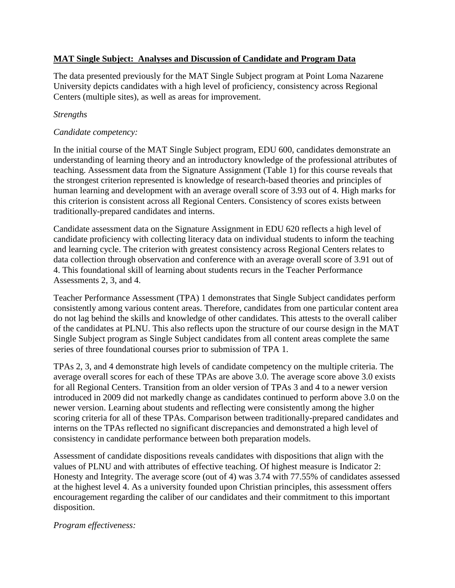# **MAT Single Subject: Analyses and Discussion of Candidate and Program Data**

The data presented previously for the MAT Single Subject program at Point Loma Nazarene University depicts candidates with a high level of proficiency, consistency across Regional Centers (multiple sites), as well as areas for improvement.

# *Strengths*

# *Candidate competency:*

In the initial course of the MAT Single Subject program, EDU 600, candidates demonstrate an understanding of learning theory and an introductory knowledge of the professional attributes of teaching. Assessment data from the Signature Assignment (Table 1) for this course reveals that the strongest criterion represented is knowledge of research-based theories and principles of human learning and development with an average overall score of 3.93 out of 4. High marks for this criterion is consistent across all Regional Centers. Consistency of scores exists between traditionally-prepared candidates and interns.

Candidate assessment data on the Signature Assignment in EDU 620 reflects a high level of candidate proficiency with collecting literacy data on individual students to inform the teaching and learning cycle. The criterion with greatest consistency across Regional Centers relates to data collection through observation and conference with an average overall score of 3.91 out of 4. This foundational skill of learning about students recurs in the Teacher Performance Assessments 2, 3, and 4.

Teacher Performance Assessment (TPA) 1 demonstrates that Single Subject candidates perform consistently among various content areas. Therefore, candidates from one particular content area do not lag behind the skills and knowledge of other candidates. This attests to the overall caliber of the candidates at PLNU. This also reflects upon the structure of our course design in the MAT Single Subject program as Single Subject candidates from all content areas complete the same series of three foundational courses prior to submission of TPA 1.

TPAs 2, 3, and 4 demonstrate high levels of candidate competency on the multiple criteria. The average overall scores for each of these TPAs are above 3.0. The average score above 3.0 exists for all Regional Centers. Transition from an older version of TPAs 3 and 4 to a newer version introduced in 2009 did not markedly change as candidates continued to perform above 3.0 on the newer version. Learning about students and reflecting were consistently among the higher scoring criteria for all of these TPAs. Comparison between traditionally-prepared candidates and interns on the TPAs reflected no significant discrepancies and demonstrated a high level of consistency in candidate performance between both preparation models.

Assessment of candidate dispositions reveals candidates with dispositions that align with the values of PLNU and with attributes of effective teaching. Of highest measure is Indicator 2: Honesty and Integrity. The average score (out of 4) was 3.74 with 77.55% of candidates assessed at the highest level 4. As a university founded upon Christian principles, this assessment offers encouragement regarding the caliber of our candidates and their commitment to this important disposition.

## *Program effectiveness:*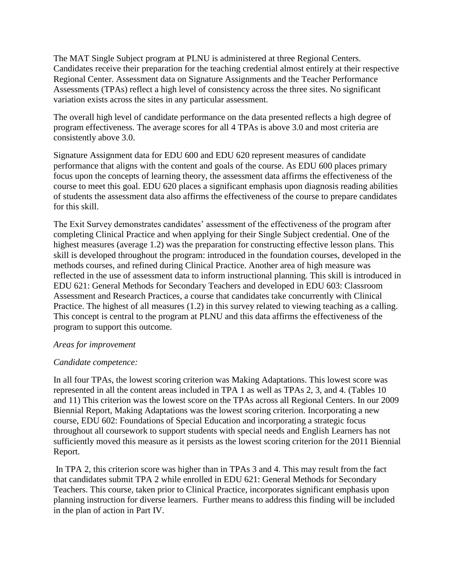The MAT Single Subject program at PLNU is administered at three Regional Centers. Candidates receive their preparation for the teaching credential almost entirely at their respective Regional Center. Assessment data on Signature Assignments and the Teacher Performance Assessments (TPAs) reflect a high level of consistency across the three sites. No significant variation exists across the sites in any particular assessment.

The overall high level of candidate performance on the data presented reflects a high degree of program effectiveness. The average scores for all 4 TPAs is above 3.0 and most criteria are consistently above 3.0.

Signature Assignment data for EDU 600 and EDU 620 represent measures of candidate performance that aligns with the content and goals of the course. As EDU 600 places primary focus upon the concepts of learning theory, the assessment data affirms the effectiveness of the course to meet this goal. EDU 620 places a significant emphasis upon diagnosis reading abilities of students the assessment data also affirms the effectiveness of the course to prepare candidates for this skill.

The Exit Survey demonstrates candidates' assessment of the effectiveness of the program after completing Clinical Practice and when applying for their Single Subject credential. One of the highest measures (average 1.2) was the preparation for constructing effective lesson plans. This skill is developed throughout the program: introduced in the foundation courses, developed in the methods courses, and refined during Clinical Practice. Another area of high measure was reflected in the use of assessment data to inform instructional planning. This skill is introduced in EDU 621: General Methods for Secondary Teachers and developed in EDU 603: Classroom Assessment and Research Practices, a course that candidates take concurrently with Clinical Practice. The highest of all measures (1.2) in this survey related to viewing teaching as a calling. This concept is central to the program at PLNU and this data affirms the effectiveness of the program to support this outcome.

#### *Areas for improvement*

## *Candidate competence:*

In all four TPAs, the lowest scoring criterion was Making Adaptations. This lowest score was represented in all the content areas included in TPA 1 as well as TPAs 2, 3, and 4. (Tables 10 and 11) This criterion was the lowest score on the TPAs across all Regional Centers. In our 2009 Biennial Report, Making Adaptations was the lowest scoring criterion. Incorporating a new course, EDU 602: Foundations of Special Education and incorporating a strategic focus throughout all coursework to support students with special needs and English Learners has not sufficiently moved this measure as it persists as the lowest scoring criterion for the 2011 Biennial Report.

In TPA 2, this criterion score was higher than in TPAs 3 and 4. This may result from the fact that candidates submit TPA 2 while enrolled in EDU 621: General Methods for Secondary Teachers. This course, taken prior to Clinical Practice, incorporates significant emphasis upon planning instruction for diverse learners. Further means to address this finding will be included in the plan of action in Part IV.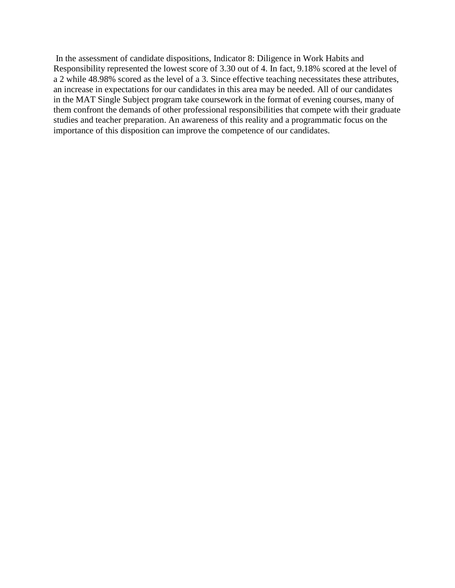In the assessment of candidate dispositions, Indicator 8: Diligence in Work Habits and Responsibility represented the lowest score of 3.30 out of 4. In fact, 9.18% scored at the level of a 2 while 48.98% scored as the level of a 3. Since effective teaching necessitates these attributes, an increase in expectations for our candidates in this area may be needed. All of our candidates in the MAT Single Subject program take coursework in the format of evening courses, many of them confront the demands of other professional responsibilities that compete with their graduate studies and teacher preparation. An awareness of this reality and a programmatic focus on the importance of this disposition can improve the competence of our candidates.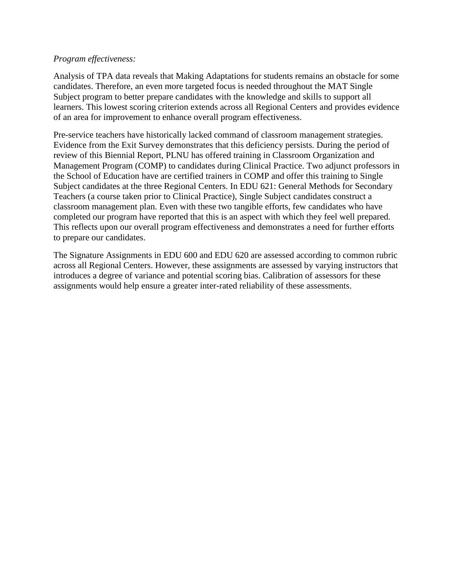### *Program effectiveness:*

Analysis of TPA data reveals that Making Adaptations for students remains an obstacle for some candidates. Therefore, an even more targeted focus is needed throughout the MAT Single Subject program to better prepare candidates with the knowledge and skills to support all learners. This lowest scoring criterion extends across all Regional Centers and provides evidence of an area for improvement to enhance overall program effectiveness.

Pre-service teachers have historically lacked command of classroom management strategies. Evidence from the Exit Survey demonstrates that this deficiency persists. During the period of review of this Biennial Report, PLNU has offered training in Classroom Organization and Management Program (COMP) to candidates during Clinical Practice. Two adjunct professors in the School of Education have are certified trainers in COMP and offer this training to Single Subject candidates at the three Regional Centers. In EDU 621: General Methods for Secondary Teachers (a course taken prior to Clinical Practice), Single Subject candidates construct a classroom management plan. Even with these two tangible efforts, few candidates who have completed our program have reported that this is an aspect with which they feel well prepared. This reflects upon our overall program effectiveness and demonstrates a need for further efforts to prepare our candidates.

The Signature Assignments in EDU 600 and EDU 620 are assessed according to common rubric across all Regional Centers. However, these assignments are assessed by varying instructors that introduces a degree of variance and potential scoring bias. Calibration of assessors for these assignments would help ensure a greater inter-rated reliability of these assessments.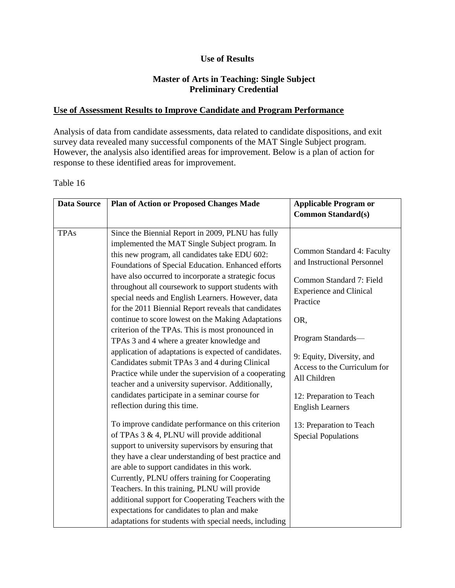### **Use of Results**

### **Master of Arts in Teaching: Single Subject Preliminary Credential**

### **Use of Assessment Results to Improve Candidate and Program Performance**

Analysis of data from candidate assessments, data related to candidate dispositions, and exit survey data revealed many successful components of the MAT Single Subject program. However, the analysis also identified areas for improvement. Below is a plan of action for response to these identified areas for improvement.

#### Table 16

| <b>Data Source</b> | <b>Plan of Action or Proposed Changes Made</b>                                                                                                                                                                                                                                                                                                                                                                                                                                                                                                                                                                                                                                                                                                                                                                                                                                                             | <b>Applicable Program or</b>                                                                                                                                                                                                                                                                         |
|--------------------|------------------------------------------------------------------------------------------------------------------------------------------------------------------------------------------------------------------------------------------------------------------------------------------------------------------------------------------------------------------------------------------------------------------------------------------------------------------------------------------------------------------------------------------------------------------------------------------------------------------------------------------------------------------------------------------------------------------------------------------------------------------------------------------------------------------------------------------------------------------------------------------------------------|------------------------------------------------------------------------------------------------------------------------------------------------------------------------------------------------------------------------------------------------------------------------------------------------------|
|                    |                                                                                                                                                                                                                                                                                                                                                                                                                                                                                                                                                                                                                                                                                                                                                                                                                                                                                                            | <b>Common Standard(s)</b>                                                                                                                                                                                                                                                                            |
| <b>TPAs</b>        | Since the Biennial Report in 2009, PLNU has fully<br>implemented the MAT Single Subject program. In<br>this new program, all candidates take EDU 602:<br>Foundations of Special Education. Enhanced efforts<br>have also occurred to incorporate a strategic focus<br>throughout all coursework to support students with<br>special needs and English Learners. However, data<br>for the 2011 Biennial Report reveals that candidates<br>continue to score lowest on the Making Adaptations<br>criterion of the TPAs. This is most pronounced in<br>TPAs 3 and 4 where a greater knowledge and<br>application of adaptations is expected of candidates.<br>Candidates submit TPAs 3 and 4 during Clinical<br>Practice while under the supervision of a cooperating<br>teacher and a university supervisor. Additionally,<br>candidates participate in a seminar course for<br>reflection during this time. | Common Standard 4: Faculty<br>and Instructional Personnel<br>Common Standard 7: Field<br><b>Experience and Clinical</b><br>Practice<br>OR,<br>Program Standards-<br>9: Equity, Diversity, and<br>Access to the Curriculum for<br>All Children<br>12: Preparation to Teach<br><b>English Learners</b> |
|                    | To improve candidate performance on this criterion<br>of TPAs $3 \& 4$ , PLNU will provide additional<br>support to university supervisors by ensuring that<br>they have a clear understanding of best practice and<br>are able to support candidates in this work.<br>Currently, PLNU offers training for Cooperating<br>Teachers. In this training, PLNU will provide<br>additional support for Cooperating Teachers with the<br>expectations for candidates to plan and make<br>adaptations for students with special needs, including                                                                                                                                                                                                                                                                                                                                                                  | 13: Preparation to Teach<br><b>Special Populations</b>                                                                                                                                                                                                                                               |